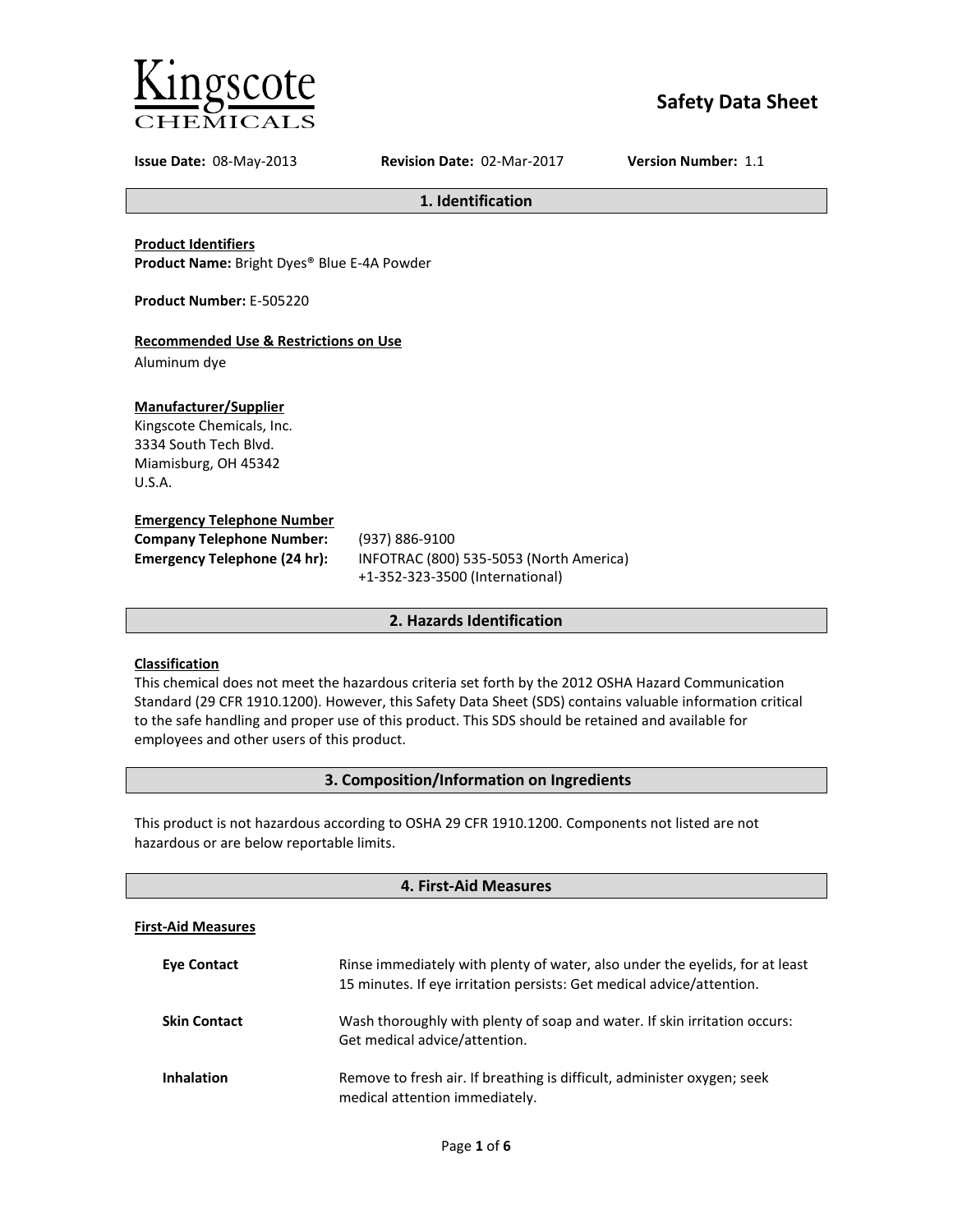

# **Safety Data Sheet**

**Issue Date:** 08-May-2013 **Revision Date:** 02-Mar-2017 **Version Number:** 1.1

**1. Identification**

**Product Identifiers Product Name:** Bright Dyes® Blue E-4A Powder

**Product Number:** E-505220

## **Recommended Use & Restrictions on Use**

Aluminum dye

## **Manufacturer/Supplier**

Kingscote Chemicals, Inc. 3334 South Tech Blvd. Miamisburg, OH 45342 U.S.A.

## **Emergency Telephone Number**

| <b>Company Telephone Number:</b>    | (93)       |
|-------------------------------------|------------|
| <b>Emergency Telephone (24 hr):</b> | <b>INF</b> |
|                                     |            |

**Company Telephone Number:** (937) 886-9100 **Emergency Telephone (24 hr):** INFOTRAC (800) 535-5053 (North America) +1-352-323-3500 (International)

## **2. Hazards Identification**

## **Classification**

This chemical does not meet the hazardous criteria set forth by the 2012 OSHA Hazard Communication Standard (29 CFR 1910.1200). However, this Safety Data Sheet (SDS) contains valuable information critical to the safe handling and proper use of this product. This SDS should be retained and available for employees and other users of this product.

## **3. Composition/Information on Ingredients**

This product is not hazardous according to OSHA 29 CFR 1910.1200. Components not listed are not hazardous or are below reportable limits.

| 4. First-Aid Measures     |                                                                                                                                                       |  |
|---------------------------|-------------------------------------------------------------------------------------------------------------------------------------------------------|--|
| <b>First-Aid Measures</b> |                                                                                                                                                       |  |
| <b>Eve Contact</b>        | Rinse immediately with plenty of water, also under the eyelids, for at least<br>15 minutes. If eye irritation persists: Get medical advice/attention. |  |
| <b>Skin Contact</b>       | Wash thoroughly with plenty of soap and water. If skin irritation occurs:<br>Get medical advice/attention.                                            |  |
| <b>Inhalation</b>         | Remove to fresh air. If breathing is difficult, administer oxygen; seek<br>medical attention immediately.                                             |  |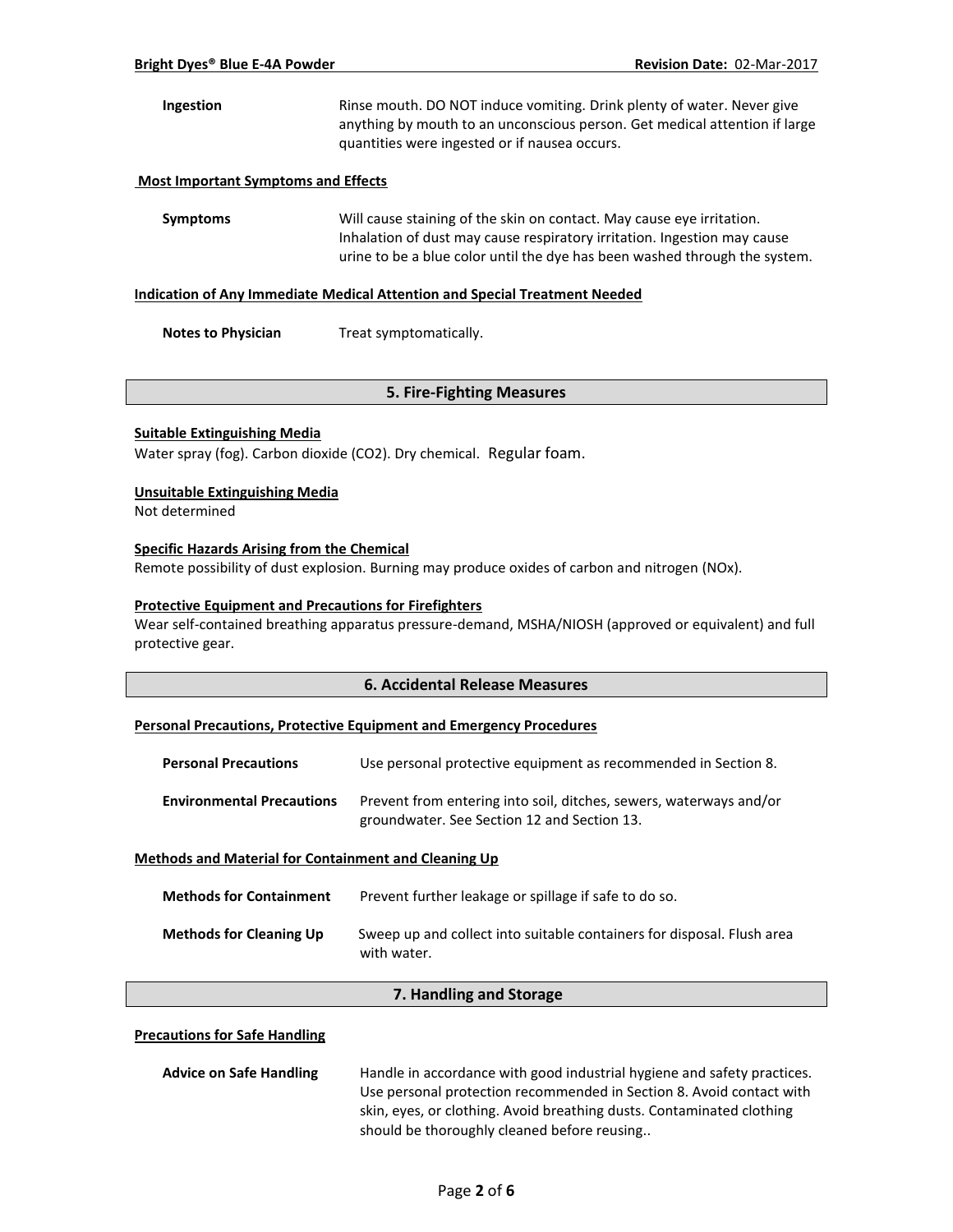| Ingestion | Rinse mouth. DO NOT induce vomiting. Drink plenty of water. Never give     |
|-----------|----------------------------------------------------------------------------|
|           | anything by mouth to an unconscious person. Get medical attention if large |
|           | quantities were ingested or if nausea occurs.                              |

### **Most Important Symptoms and Effects**

**Symptoms** Will cause staining of the skin on contact. May cause eye irritation. Inhalation of dust may cause respiratory irritation. Ingestion may cause urine to be a blue color until the dye has been washed through the system.

#### **Indication of Any Immediate Medical Attention and Special Treatment Needed**

**Notes to Physician** Treat symptomatically.

## **5. Fire-Fighting Measures**

## **Suitable Extinguishing Media**

Water spray (fog). Carbon dioxide (CO2). Dry chemical. Regular foam.

## **Unsuitable Extinguishing Media**

Not determined

#### **Specific Hazards Arising from the Chemical**

Remote possibility of dust explosion. Burning may produce oxides of carbon and nitrogen (NOx).

#### **Protective Equipment and Precautions for Firefighters**

Wear self-contained breathing apparatus pressure-demand, MSHA/NIOSH (approved or equivalent) and full protective gear.

## **6. Accidental Release Measures**

#### **Personal Precautions, Protective Equipment and Emergency Procedures**

| <b>Personal Precautions</b>      | Use personal protective equipment as recommended in Section 8.                                                    |
|----------------------------------|-------------------------------------------------------------------------------------------------------------------|
| <b>Environmental Precautions</b> | Prevent from entering into soil, ditches, sewers, waterways and/or<br>groundwater. See Section 12 and Section 13. |

#### **Methods and Material for Containment and Cleaning Up**

| <b>Methods for Containment</b> | Prevent further leakage or spillage if safe to do so.                                 |
|--------------------------------|---------------------------------------------------------------------------------------|
| <b>Methods for Cleaning Up</b> | Sweep up and collect into suitable containers for disposal. Flush area<br>with water. |

## **7. Handling and Storage**

#### **Precautions for Safe Handling**

| <b>Advice on Safe Handling</b> | Handle in accordance with good industrial hygiene and safety practices. |
|--------------------------------|-------------------------------------------------------------------------|
|                                | Use personal protection recommended in Section 8. Avoid contact with    |
|                                | skin, eyes, or clothing. Avoid breathing dusts. Contaminated clothing   |
|                                | should be thoroughly cleaned before reusing                             |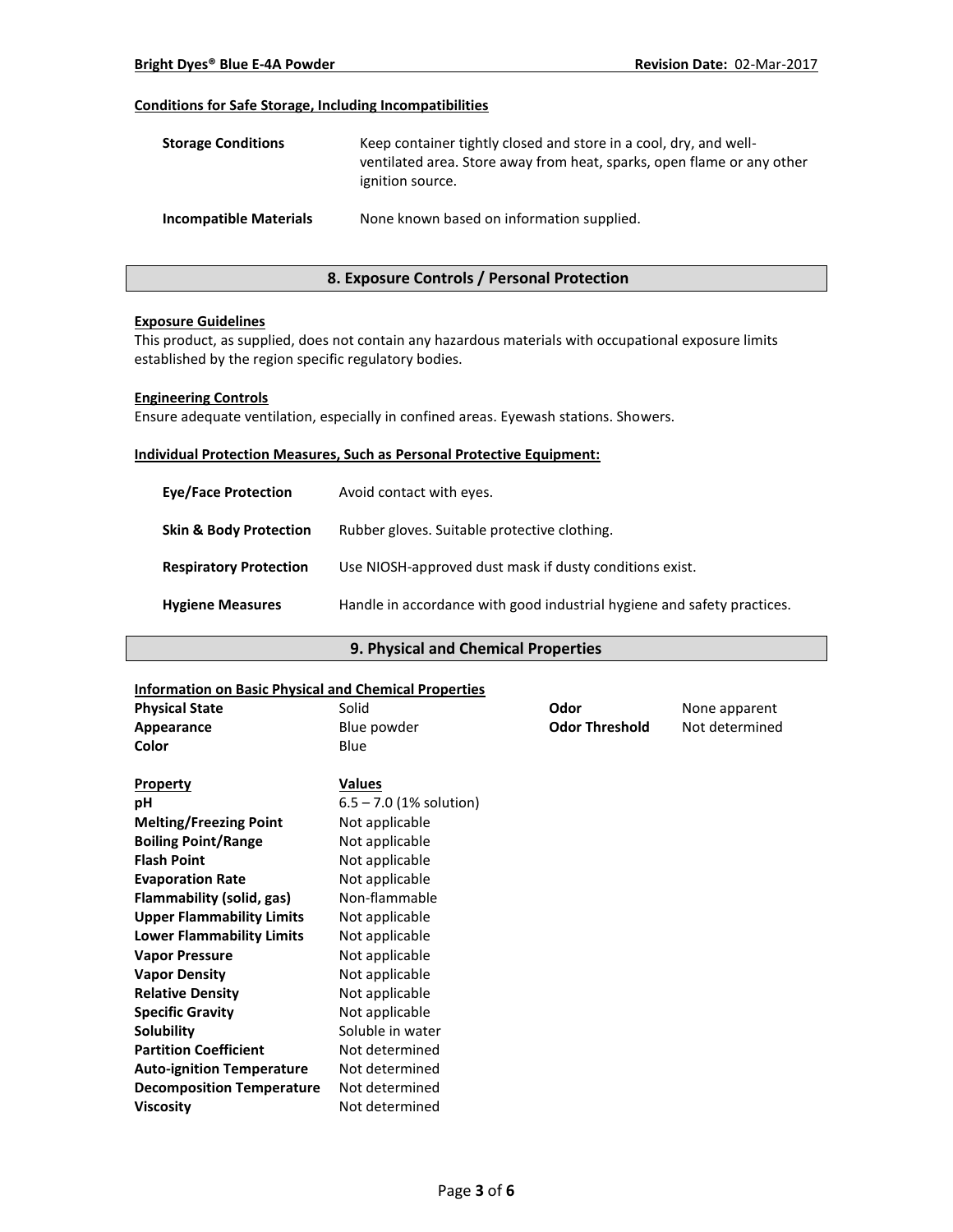## **Conditions for Safe Storage, Including Incompatibilities**

| <b>Storage Conditions</b>     | Keep container tightly closed and store in a cool, dry, and well-<br>ventilated area. Store away from heat, sparks, open flame or any other<br>ignition source. |
|-------------------------------|-----------------------------------------------------------------------------------------------------------------------------------------------------------------|
| <b>Incompatible Materials</b> | None known based on information supplied.                                                                                                                       |

## **8. Exposure Controls / Personal Protection**

#### **Exposure Guidelines**

This product, as supplied, does not contain any hazardous materials with occupational exposure limits established by the region specific regulatory bodies.

#### **Engineering Controls**

Ensure adequate ventilation, especially in confined areas. Eyewash stations. Showers.

#### **Individual Protection Measures, Such as Personal Protective Equipment:**

| <b>Eve/Face Protection</b>        | Avoid contact with eyes.                                                |
|-----------------------------------|-------------------------------------------------------------------------|
| <b>Skin &amp; Body Protection</b> | Rubber gloves. Suitable protective clothing.                            |
| <b>Respiratory Protection</b>     | Use NIOSH-approved dust mask if dusty conditions exist.                 |
| <b>Hygiene Measures</b>           | Handle in accordance with good industrial hygiene and safety practices. |

## **9. Physical and Chemical Properties**

### **Information on Basic Physical and Chemical Properties**

| <b>Physical State</b>            | Solid                     | Odor                  | None apparent  |
|----------------------------------|---------------------------|-----------------------|----------------|
| Appearance                       | Blue powder               | <b>Odor Threshold</b> | Not determined |
| Color                            | Blue                      |                       |                |
| <b>Property</b>                  | <b>Values</b>             |                       |                |
| pH                               | $6.5 - 7.0$ (1% solution) |                       |                |
| <b>Melting/Freezing Point</b>    | Not applicable            |                       |                |
| <b>Boiling Point/Range</b>       | Not applicable            |                       |                |
| <b>Flash Point</b>               | Not applicable            |                       |                |
| <b>Evaporation Rate</b>          | Not applicable            |                       |                |
| Flammability (solid, gas)        | Non-flammable             |                       |                |
| <b>Upper Flammability Limits</b> | Not applicable            |                       |                |
| <b>Lower Flammability Limits</b> | Not applicable            |                       |                |
| <b>Vapor Pressure</b>            | Not applicable            |                       |                |
| <b>Vapor Density</b>             | Not applicable            |                       |                |
| <b>Relative Density</b>          | Not applicable            |                       |                |
| <b>Specific Gravity</b>          | Not applicable            |                       |                |
| <b>Solubility</b>                | Soluble in water          |                       |                |
| <b>Partition Coefficient</b>     | Not determined            |                       |                |
| <b>Auto-ignition Temperature</b> | Not determined            |                       |                |
| <b>Decomposition Temperature</b> | Not determined            |                       |                |
| <b>Viscosity</b>                 | Not determined            |                       |                |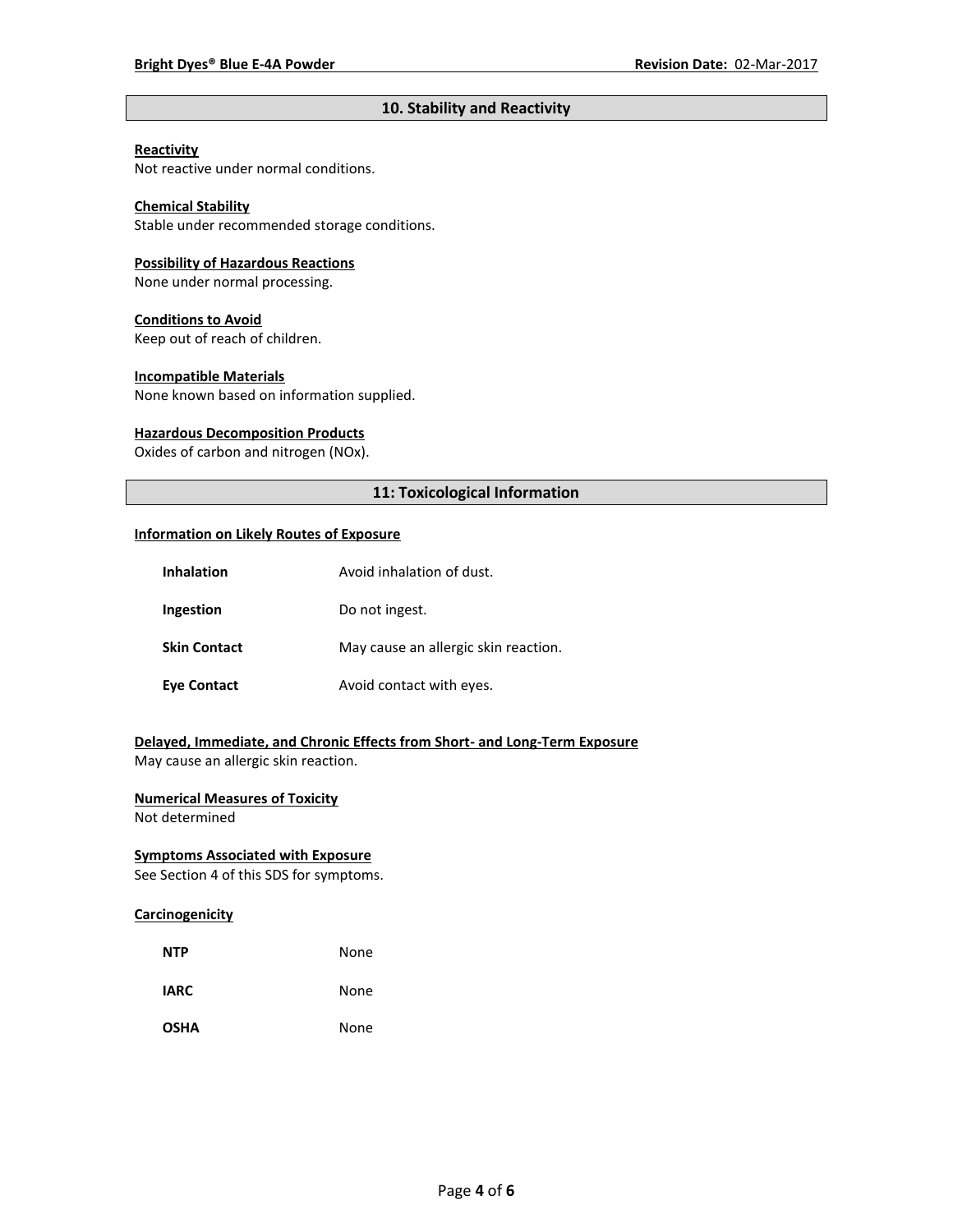## **10. Stability and Reactivity**

## **Reactivity**

Not reactive under normal conditions.

## **Chemical Stability**

Stable under recommended storage conditions.

#### **Possibility of Hazardous Reactions**

None under normal processing.

#### **Conditions to Avoid**

Keep out of reach of children.

#### **Incompatible Materials**

None known based on information supplied.

#### **Hazardous Decomposition Products**

Oxides of carbon and nitrogen (NOx).

## **11: Toxicological Information**

#### **Information on Likely Routes of Exposure**

| <b>Inhalation</b>   | Avoid inhalation of dust.            |
|---------------------|--------------------------------------|
| Ingestion           | Do not ingest.                       |
| <b>Skin Contact</b> | May cause an allergic skin reaction. |
| <b>Eye Contact</b>  | Avoid contact with eyes.             |

## **Delayed, Immediate, and Chronic Effects from Short- and Long-Term Exposure**

May cause an allergic skin reaction.

## **Numerical Measures of Toxicity**

Not determined

## **Symptoms Associated with Exposure**

See Section 4 of this SDS for symptoms.

## **Carcinogenicity**

| <b>NTP</b>  | None |
|-------------|------|
| <b>IARC</b> | None |
| <b>OSHA</b> | None |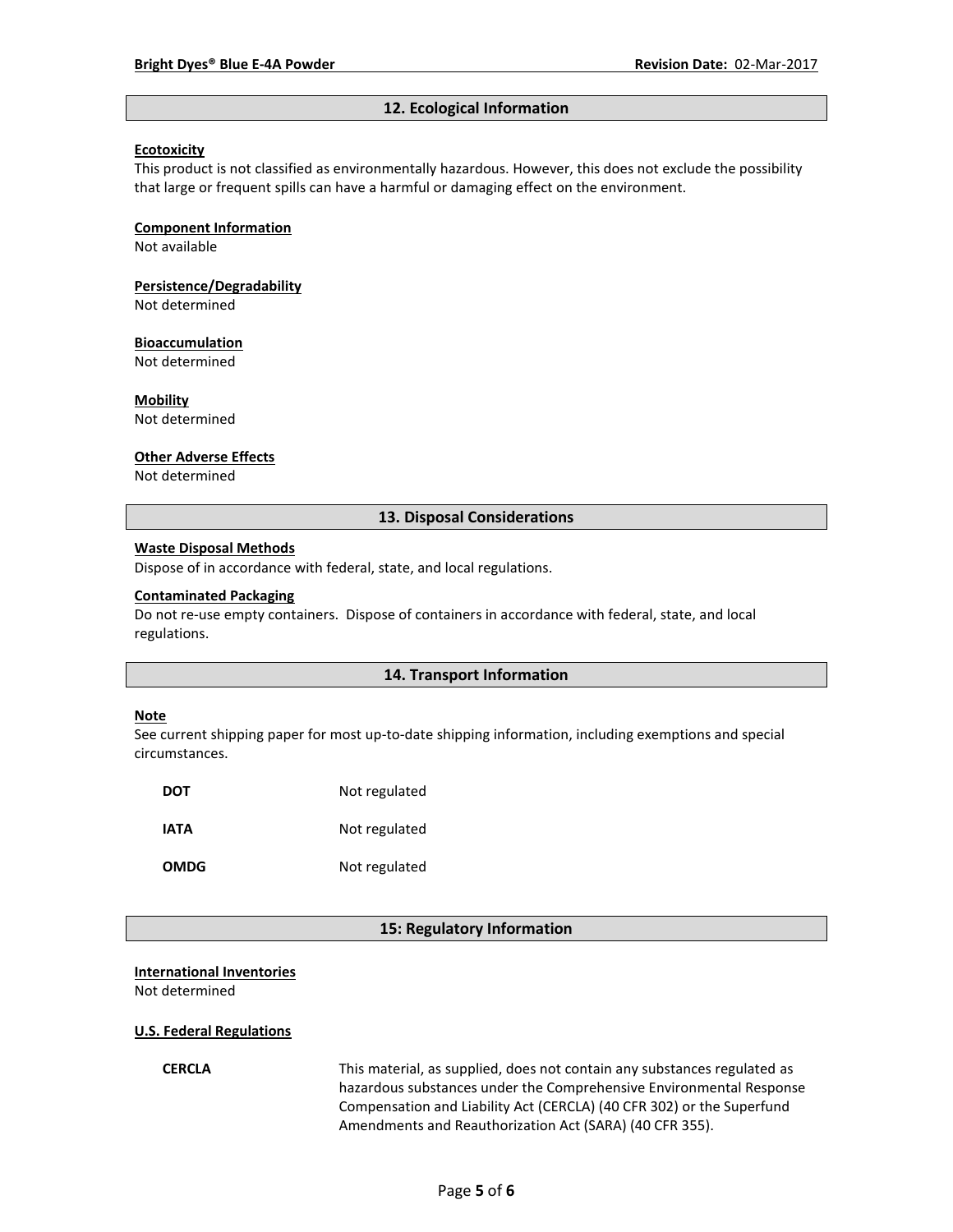### **12. Ecological Information**

#### **Ecotoxicity**

This product is not classified as environmentally hazardous. However, this does not exclude the possibility that large or frequent spills can have a harmful or damaging effect on the environment.

#### **Component Information**

Not available

# **Persistence/Degradability**

Not determined

#### **Bioaccumulation**

Not determined

#### **Mobility**

Not determined

#### **Other Adverse Effects**

Not determined

## **13. Disposal Considerations**

#### **Waste Disposal Methods**

Dispose of in accordance with federal, state, and local regulations.

#### **Contaminated Packaging**

Do not re-use empty containers.Dispose of containers in accordance with federal, state, and local regulations.

#### **14. Transport Information**

#### **Note**

See current shipping paper for most up-to-date shipping information, including exemptions and special circumstances.

| DOT         | Not regulated |
|-------------|---------------|
| IATA        | Not regulated |
| <b>OMDG</b> | Not regulated |

#### **15: Regulatory Information**

#### **International Inventories**

Not determined

#### **U.S. Federal Regulations**

**CERCLA** This material, as supplied, does not contain any substances regulated as hazardous substances under the Comprehensive Environmental Response Compensation and Liability Act (CERCLA) (40 CFR 302) or the Superfund Amendments and Reauthorization Act (SARA) (40 CFR 355).